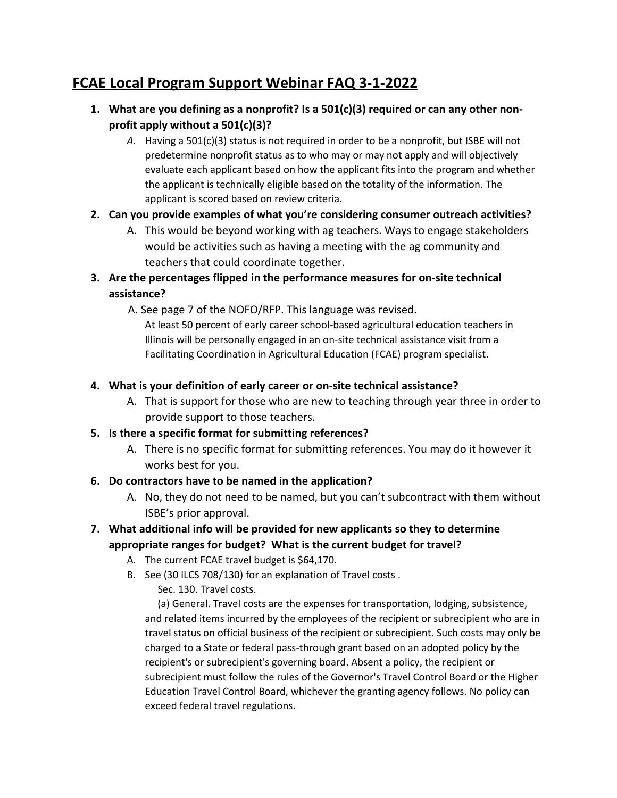# **FCAE Local Program Support Webinar FAQ 3-1-2022**

- **1. What are you defining as a nonprofit? Is a 501(c)(3) required or can any other nonprofit apply without a 501(c)(3)?**
	- *A.* Having a 501(c)(3) status is not required in order to be a nonprofit, but ISBE will not predetermine nonprofit status as to who may or may not apply and will objectively evaluate each applicant based on how the applicant fits into the program and whether the applicant is technically eligible based on the totality of the information. The applicant is scored based on review criteria.

## **2. Can you provide examples of what you're considering consumer outreach activities?**

- A. This would be beyond working with ag teachers. Ways to engage stakeholders would be activities such as having a meeting with the ag community and teachers that could coordinate together.
- **3. Are the percentages flipped in the performance measures for on-site technical assistance?**
	- A. See page 7 of the NOFO/RFP. This language was revised.

At least 50 percent of early career school-based agricultural education teachers in Illinois will be personally engaged in an on-site technical assistance visit from a Facilitating Coordination in Agricultural Education (FCAE) program specialist.

## **4. What is your definition of early career or on-site technical assistance?**

A. That is support for those who are new to teaching through year three in order to provide support to those teachers.

## **5. Is there a specific format for submitting references?**

A. There is no specific format for submitting references. You may do it however it works best for you.

# **6. Do contractors have to be named in the application?**

A. No, they do not need to be named, but you can't subcontract with them without ISBE's prior approval.

#### **7. What additional info will be provided for new applicants so they to determine appropriate ranges for budget? What is the current budget for travel?**

- A. The current FCAE travel budget is \$64,170.
- B. See (30 ILCS 708/130) for an explanation of Travel costs .

Sec. 130. Travel costs.

 (a) General. Travel costs are the expenses for transportation, lodging, subsistence, and related items incurred by the employees of the recipient or subrecipient who are in travel status on official business of the recipient or subrecipient. Such costs may only be charged to a State or federal pass-through grant based on an adopted policy by the recipient's or subrecipient's governing board. Absent a policy, the recipient or subrecipient must follow the rules of the Governor's Travel Control Board or the Higher Education Travel Control Board, whichever the granting agency follows. No policy can exceed federal travel regulations.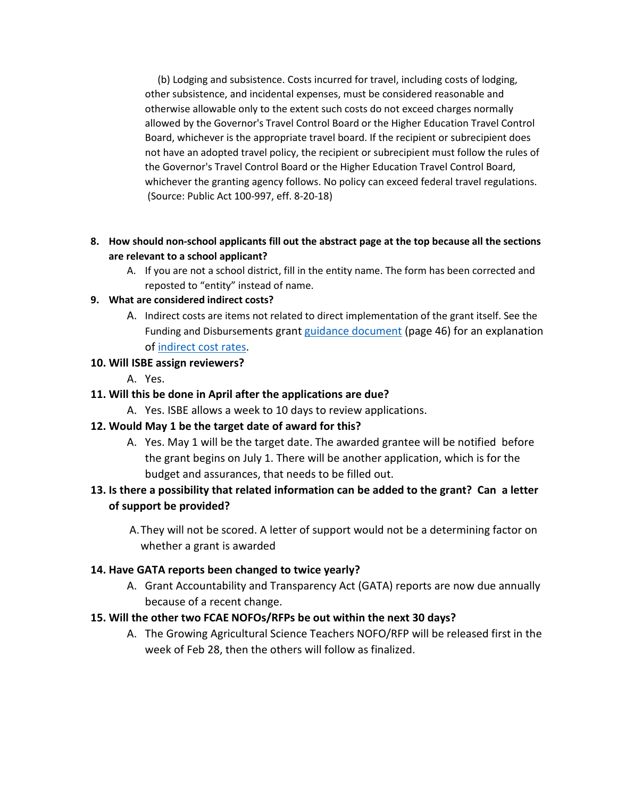(b) Lodging and subsistence. Costs incurred for travel, including costs of lodging, other subsistence, and incidental expenses, must be considered reasonable and otherwise allowable only to the extent such costs do not exceed charges normally allowed by the Governor's Travel Control Board or the Higher Education Travel Control Board, whichever is the appropriate travel board. If the recipient or subrecipient does not have an adopted travel policy, the recipient or subrecipient must follow the rules of the Governor's Travel Control Board or the Higher Education Travel Control Board, whichever the granting agency follows. No policy can exceed federal travel regulations. (Source: Public Act 100-997, eff. 8-20-18)

- **8. How should non-school applicants fill out the abstract page at the top because all the sections are relevant to a school applicant?**
	- A. If you are not a school district, fill in the entity name. The form has been corrected and reposted to "entity" instead of name.

#### **9. What are considered indirect costs?**

A. Indirect costs are items not related to direct implementation of the grant itself. See the Funding and Disbursements grant guidance [document](https://www.isbe.net/Documents/fiscal_procedure_handbk.pdf) (page 46) for an explanation o[f indirect cost](https://www.isbe.net/Documents/Indirect-Cost-Rates-FY22.pdf) rates.

## **10. Will ISBE assign reviewers?**

A. Yes.

## **11. Will this be done in April after the applications are due?**

A. Yes. ISBE allows a week to 10 days to review applications.

## **12. Would May 1 be the target date of award for this?**

A. Yes. May 1 will be the target date. The awarded grantee will be notified before the grant begins on July 1. There will be another application, which is for the budget and assurances, that needs to be filled out.

# **13. Is there a possibility that related information can be added to the grant? Can a letter of support be provided?**

A.They will not be scored. A letter of support would not be a determining factor on whether a grant is awarded

## **14. Have GATA reports been changed to twice yearly?**

A. Grant Accountability and Transparency Act (GATA) reports are now due annually because of a recent change.

## **15. Will the other two FCAE NOFOs/RFPs be out within the next 30 days?**

A. The Growing Agricultural Science Teachers NOFO/RFP will be released first in the week of Feb 28, then the others will follow as finalized.